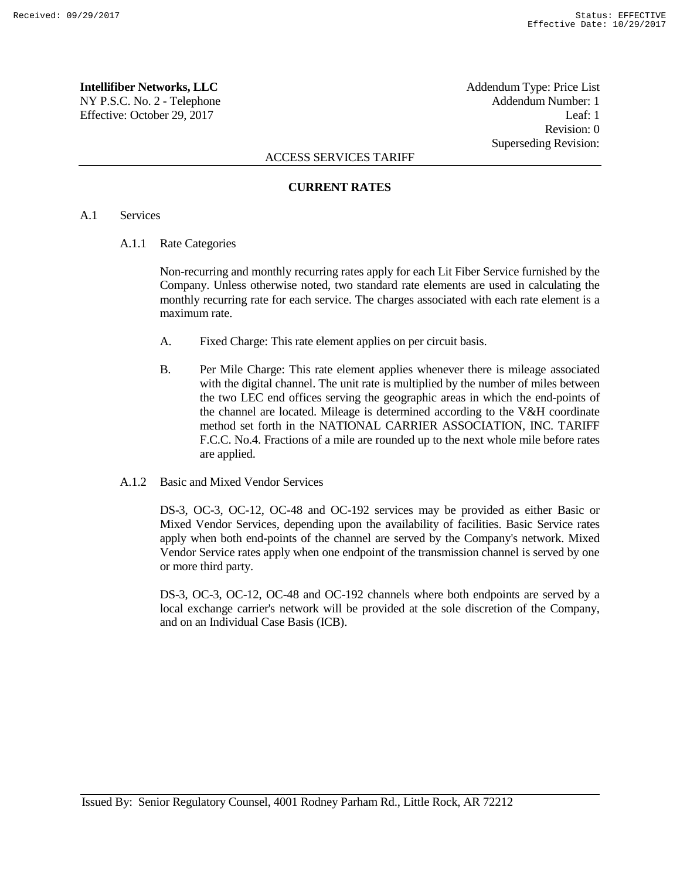**Intellifiber Networks, LLC** Addendum Type: Price List NY P.S.C. No. 2 - Telephone Addendum Number: 1 Effective: October 29, 2017 Leaf: 1

Revision: 0 Superseding Revision:

## ACCESS SERVICES TARIFF

## **CURRENT RATES**

# A.1 Services

A.1.1 Rate Categories

Non-recurring and monthly recurring rates apply for each Lit Fiber Service furnished by the Company. Unless otherwise noted, two standard rate elements are used in calculating the monthly recurring rate for each service. The charges associated with each rate element is a maximum rate.

- A. Fixed Charge: This rate element applies on per circuit basis.
- B. Per Mile Charge: This rate element applies whenever there is mileage associated with the digital channel. The unit rate is multiplied by the number of miles between the two LEC end offices serving the geographic areas in which the end-points of the channel are located. Mileage is determined according to the V&H coordinate method set forth in the NATIONAL CARRIER ASSOCIATION, INC. TARIFF F.C.C. No.4. Fractions of a mile are rounded up to the next whole mile before rates are applied.
- A.1.2 Basic and Mixed Vendor Services

DS-3, OC-3, OC-12, OC-48 and OC-192 services may be provided as either Basic or Mixed Vendor Services, depending upon the availability of facilities. Basic Service rates apply when both end-points of the channel are served by the Company's network. Mixed Vendor Service rates apply when one endpoint of the transmission channel is served by one or more third party.

DS-3, OC-3, OC-12, OC-48 and OC-192 channels where both endpoints are served by a local exchange carrier's network will be provided at the sole discretion of the Company, and on an Individual Case Basis (ICB).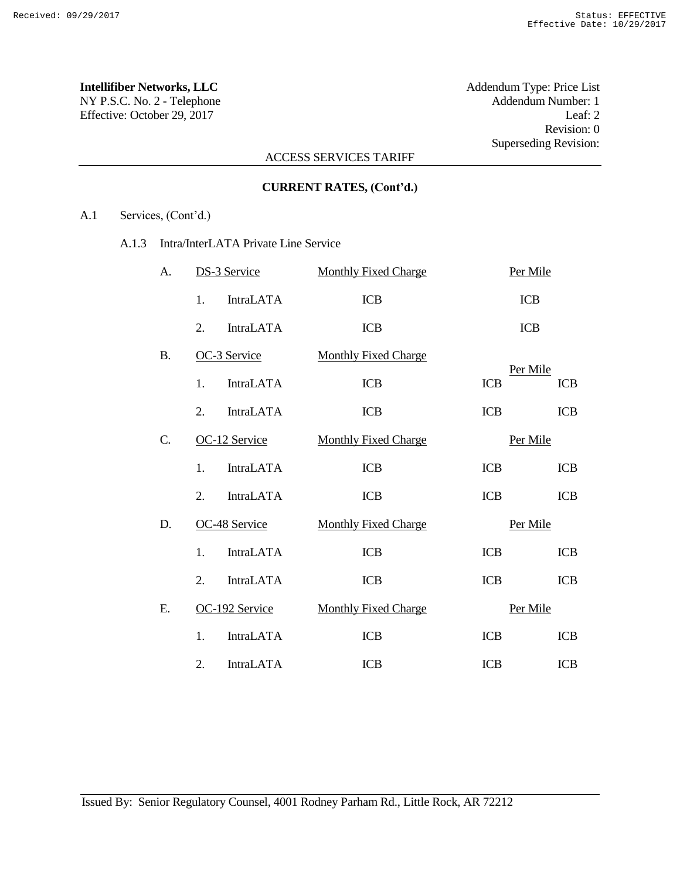Effective: October 29, 2017 Leaf: 2

**Intellifiber Networks, LLC** Addendum Type: Price List NY P.S.C. No. 2 - Telephone Addendum Number: 1 Revision: 0 Superseding Revision:

# ACCESS SERVICES TARIFF

# **CURRENT RATES, (Cont'd.)**

A.1 Services, (Cont'd.)

A.1.3 Intra/InterLATA Private Line Service

| A.        | DS-3 Service     |                  | <b>Monthly Fixed Charge</b> | Per Mile   |                        |  |
|-----------|------------------|------------------|-----------------------------|------------|------------------------|--|
|           | 1.               | <b>IntraLATA</b> | <b>ICB</b>                  |            | <b>ICB</b>             |  |
|           | 2.               | <b>IntraLATA</b> | <b>ICB</b>                  |            | <b>ICB</b>             |  |
| <b>B.</b> | OC-3 Service     |                  | <b>Monthly Fixed Charge</b> |            |                        |  |
|           | 1.               | <b>IntraLATA</b> | <b>ICB</b>                  | <b>ICB</b> | Per Mile<br><b>ICB</b> |  |
|           | $\overline{2}$ . | <b>IntraLATA</b> | <b>ICB</b>                  | <b>ICB</b> | <b>ICB</b>             |  |
| C.        |                  | OC-12 Service    | <b>Monthly Fixed Charge</b> | Per Mile   |                        |  |
|           | 1.               | <b>IntraLATA</b> | <b>ICB</b>                  | <b>ICB</b> | <b>ICB</b>             |  |
|           | 2.               | <b>IntraLATA</b> | <b>ICB</b>                  | <b>ICB</b> | <b>ICB</b>             |  |
| D.        |                  | OC-48 Service    | <b>Monthly Fixed Charge</b> | Per Mile   |                        |  |
|           | $\mathbf{1}$ .   | <b>IntraLATA</b> | <b>ICB</b>                  | <b>ICB</b> | <b>ICB</b>             |  |
|           | 2.               | <b>IntraLATA</b> | <b>ICB</b>                  | <b>ICB</b> | <b>ICB</b>             |  |
| Е.        |                  | OC-192 Service   | <b>Monthly Fixed Charge</b> | Per Mile   |                        |  |
|           | 1.               | <b>IntraLATA</b> | <b>ICB</b>                  | <b>ICB</b> | <b>ICB</b>             |  |
|           | 2.               | <b>IntraLATA</b> | <b>ICB</b>                  | <b>ICB</b> | <b>ICB</b>             |  |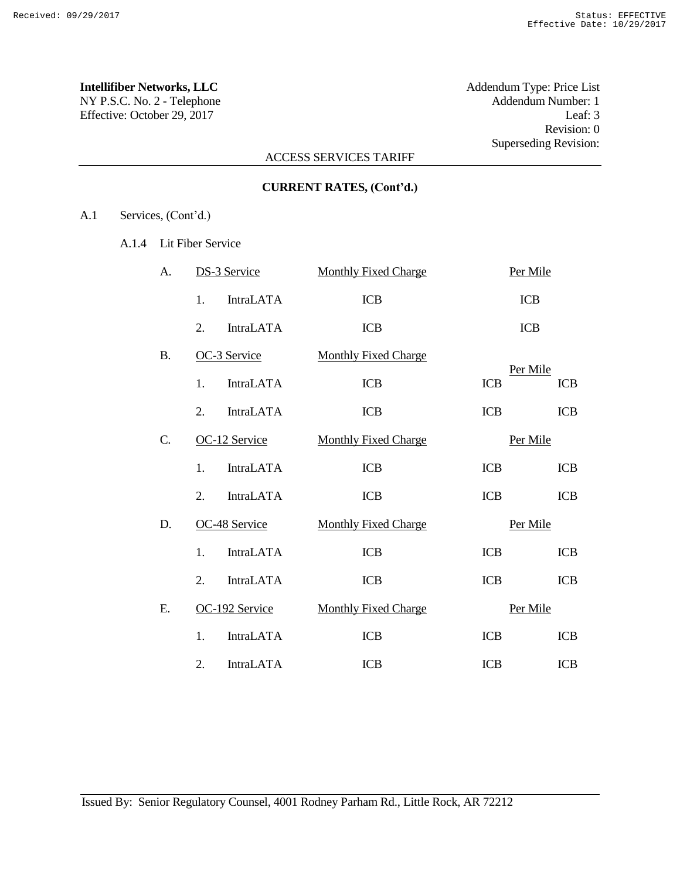# **Intellifiber Networks, LLC** Addendum Type: Price List

Effective: October 29, 2017 Leaf: 3

NY P.S.C. No. 2 - Telephone Addendum Number: 1 Revision: 0 Superseding Revision:

# ACCESS SERVICES TARIFF

| <b>CURRENT RATES, (Cont'd.)</b> |  |  |
|---------------------------------|--|--|
|---------------------------------|--|--|

A.1 Services, (Cont'd.)

A.1.4 Lit Fiber Service

| А.        | <b>DS-3 Service</b>                  | <b>Monthly Fixed Charge</b><br>Per Mile |            |            |
|-----------|--------------------------------------|-----------------------------------------|------------|------------|
|           | <b>IntraLATA</b><br>1.               | <b>ICB</b>                              | <b>ICB</b> |            |
|           | <b>IntraLATA</b><br>2.               | <b>ICB</b>                              | <b>ICB</b> |            |
| <b>B.</b> | OC-3 Service                         | <b>Monthly Fixed Charge</b>             | Per Mile   |            |
|           | <b>IntraLATA</b><br>1.               | <b>ICB</b>                              | <b>ICB</b> | <b>ICB</b> |
|           | <b>IntraLATA</b><br>2.               | <b>ICB</b>                              | <b>ICB</b> | <b>ICB</b> |
| C.        | OC-12 Service                        | <b>Monthly Fixed Charge</b>             | Per Mile   |            |
|           | <b>IntraLATA</b><br>1.               | <b>ICB</b>                              | <b>ICB</b> | <b>ICB</b> |
|           | $\overline{2}$ .<br><b>IntraLATA</b> | <b>ICB</b>                              | <b>ICB</b> | <b>ICB</b> |
| D.        | OC-48 Service                        | <b>Monthly Fixed Charge</b>             | Per Mile   |            |
|           | <b>IntraLATA</b><br>1.               | <b>ICB</b>                              | <b>ICB</b> | <b>ICB</b> |
|           | <b>IntraLATA</b><br>2.               | <b>ICB</b>                              | <b>ICB</b> | ICB        |
| Е.        | OC-192 Service                       | <b>Monthly Fixed Charge</b>             | Per Mile   |            |
|           | 1.<br><b>IntraLATA</b>               | <b>ICB</b>                              | <b>ICB</b> | <b>ICB</b> |
|           | <b>IntraLATA</b><br>2.               | <b>ICB</b>                              | <b>ICB</b> | <b>ICB</b> |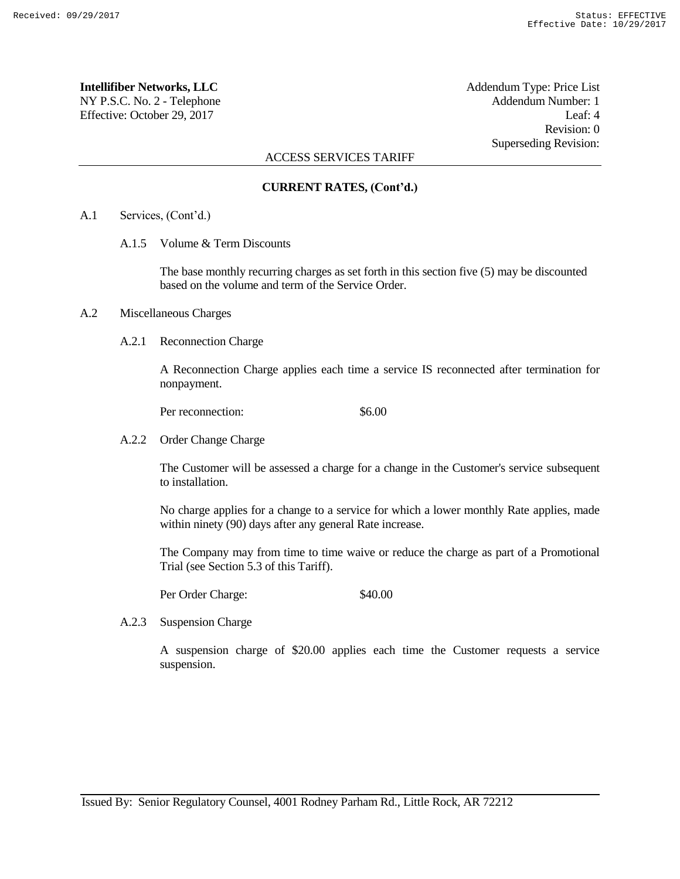# **Intellifiber Networks, LLC** Addendum Type: Price List

NY P.S.C. No. 2 - Telephone Addendum Number: 1 Effective: October 29, 2017 Leaf: 4

Revision: 0 Superseding Revision:

## ACCESS SERVICES TARIFF

# **CURRENT RATES, (Cont'd.)**

- A.1 Services, (Cont'd.)
	- A.1.5 Volume & Term Discounts

The base monthly recurring charges as set forth in this section five (5) may be discounted based on the volume and term of the Service Order.

## A.2 Miscellaneous Charges

A.2.1 Reconnection Charge

A Reconnection Charge applies each time a service IS reconnected after termination for nonpayment.

Per reconnection: \$6.00

A.2.2 Order Change Charge

The Customer will be assessed a charge for a change in the Customer's service subsequent to installation.

No charge applies for a change to a service for which a lower monthly Rate applies, made within ninety (90) days after any general Rate increase.

The Company may from time to time waive or reduce the charge as part of a Promotional Trial (see Section 5.3 of this Tariff).

Per Order Charge: \$40.00

A.2.3 Suspension Charge

A suspension charge of \$20.00 applies each time the Customer requests a service suspension.